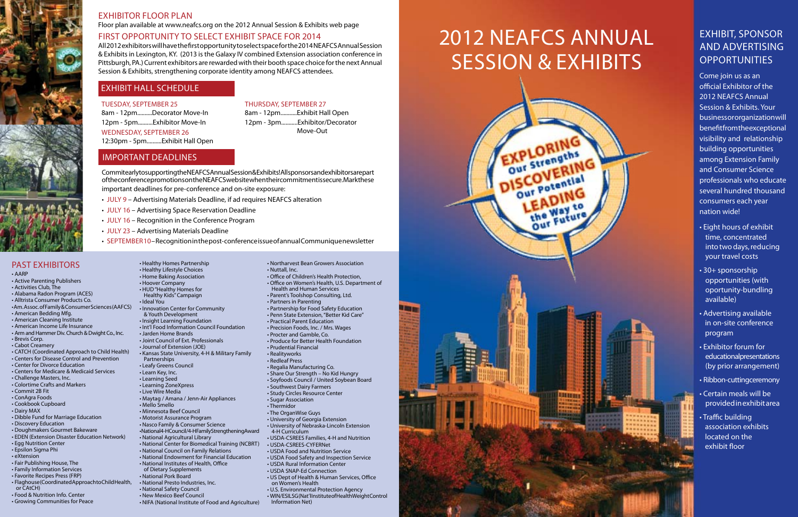Tuesday, September 25 8am - 12pm..........Decorator Move-In 12pm - 5pm..........Exhibitor Move-In Wednesday, September 26 12:30pm - 5pm..........Exhibit Hall Open

# Thursday, September 27

8am - 12pm...........Exhibit Hall Open 12pm - 3pm........... Exhibitor/Decorator Move-Out

#### • AARP

- Active Parenting Publishers
- Activities Club, The
- Alabama Radon Program (ACES)
- Alltrista Consumer Products Co.
- Am. Assoc. of Family & Consumer Sciences (AAFCS)
- American Bedding Mfg.
- American Cleaning Institute
- American Income Life Insurance
- Arm and Hammer Div. Church & Dwight Co., Inc.
- Brevis Corp.
- Cabot Creamery
- CATCH (Coordinated Approach to Child Health)
- Centers for Disease Control and Prevention • Center for Divorce Education
- Centers for Medicare & Medicaid Services
	-
- Challenge Masters, Inc. • Colortime Crafts and Markers
- Commit 2B Fit
- 
- ConAgra Foods • Cookbook Cupboard
- Dairy MAX
- Dibble Fund for Marriage Education
- Discovery Education
- Doughmakers Gourmet Bakeware
- EDEN (Extension Disaster Education Network)
- Egg Nutrition Center
- Epsilon Sigma Phi
- eXtension
- Fair Publishing House, The
- Family Information Services
- Favorite Recipes Press (FRP)
- Flaghouse (Coordinated Approach to Child Health, or CAtCH)
- Food & Nutrition Info. Center
- Growing Communities for Peace
- Healthy Homes Partnership
- Healthy Lifestyle Choices
- Home Baking Association
- Hoover Company • HUD "Healthy Homes for
- Healthy Kids" Campaign • Ideal You
- Innovation Center for Community
- & Youth Development
- Insight Learning Foundation
- Int'l Food Information Council Foundation
- Jarden Home Brands
- Joint Council of Ext. Professionals
- Journal of Extension (JOE)
- Kansas State University, 4-H & Military Family
- Partnerships • Leafy Greens Council
- Learn Key, Inc.
- Learning Seed
- - Learning ZoneXpress • Live Wire Media
	-
	- Maytag / Amana / Jenn-Air Appliances • Mello Smello
	- Minnesota Beef Council
	- Motorist Assurance Program
	- Nasco Family & Consumer Science
	- National 4-H Council / 4-H Family Strengthening Award
	- National Agricultural Library
	- National Center for Biomedical Training (NCBRT)
	- National Council on Family Relations
	- National Endowment for Financial Education
	- National Institutes of Health, Office
	- of Dietary Supplements
	- National Pork Board
	- National Presto Industries, Inc.
	- National Safety Council
	- New Mexico Beef Council
	- NIFA (National Institute of Food and Agriculture)

# Exhibit, Sponsor and Advertising **OPPORTUNITIES**

#### • Northarvest Bean Growers Association

- Nuttall, Inc.
	- Office of Children's Health Protection,
		- Office on Women's Health, U.S. Department of Health and Human Services
		- Parent's Toolshop Consulting, Ltd. • Partners in Parenting
		- Partnership for Food Safety Education
		- Penn State Extension, "Better Kid Care"
		- Practical Parent Education
		- Precision Foods, Inc. / Mrs. Wages
		- Procter and Gamble, Co.
		- Produce for Better Health Foundation

• Prudential Financial

- Realityworks
- Redleaf Press

• Regalia Manufacturing Co.

• Share Our Strength – No Kid Hungry • Soyfoods Council / United Soybean Board

• Southwest Dairy Farmers • Study Circles Resource Center

• Sugar Association • Thermidor

• The OrganWise Guys

• University of Georgia Extension • University of Nebraska-Lincoln Extension

4-H Curriculum

• USDA-CSREES Families, 4-H and Nutrition

• USDA-CSREES-CYFERNet • USDA Food and Nutrition Service • USDA Food Safety and Inspection Service

• USDA Rural Information Center • USDA SNAP-Ed Connection

• US Dept of Health & Human Services, Office

on Women's Health

• U.S. Environmental Protection Agency

• WIN/ESILSG (Nat'l Institute of Health Weight Control

Information Net)

Commit early to supporting the NEAFCS Annual Session & Exhibits! All sponsors and exhibitors are part of the conference promotions on the NEAFCS web site when their commitment is secure. Mark these important deadlines for pre-conference and on-site exposure:

- JULY 9 Advertising Materials Deadline, if ad requires NEAFCS alteration
- JULY 16 Advertising Space Reservation Deadline
- JULY 16 Recognition in the Conference Program
- JULY 23 Advertising Materials Deadline
- SEPTEMBER 10 Recognition in the post-conference issue of annual Communique newsletter

# PAST EXHIBITORS



# Exhibitor Floor plan

Floor plan available at www.neafcs.org on the 2012 Annual Session & Exhibits web page

# First Opportunity to Select Exhibit Space for 2014

All 2012 exhibitors will have the first opportunity to select space for the 2014 NEAFCS Annual Session & Exhibits in Lexington, KY. (2013 is the Galaxy IV combined Extension association conference in Pittsburgh, PA.) Current exhibitors are rewarded with their booth space choice for the next Annual Session & Exhibits, strengthening corporate identity among NEAFCS attendees.

# Exhibit Hall Schedule

# IMPORTANT DEADLINES

# 2012 NEAFCS ANNUAL SESSION & EXHIBITS

SCOVEREIR



Come join us as an official Exhibitor of the 2012 NEAFCS Annual Session & Exhibits. Your business or organization will benefit from the exceptional visibility and relationship building opportunities among Extension Family and Consumer Science professionals who educate several hundred thousand consumers each year nation wide!

- Eight hours of exhibit time, concentrated into two days, reducing your travel costs
- 30+ sponsorship opportunities (with oportunity-bundling available)
- Advertising available in on-site conference program
- Exhibitor forum for educational presentations (by prior arrangement)
- Ribbon-cutting ceremony
- Certain meals will be provided in exhibit area
- Traffic building association exhibits located on the exhibit floor